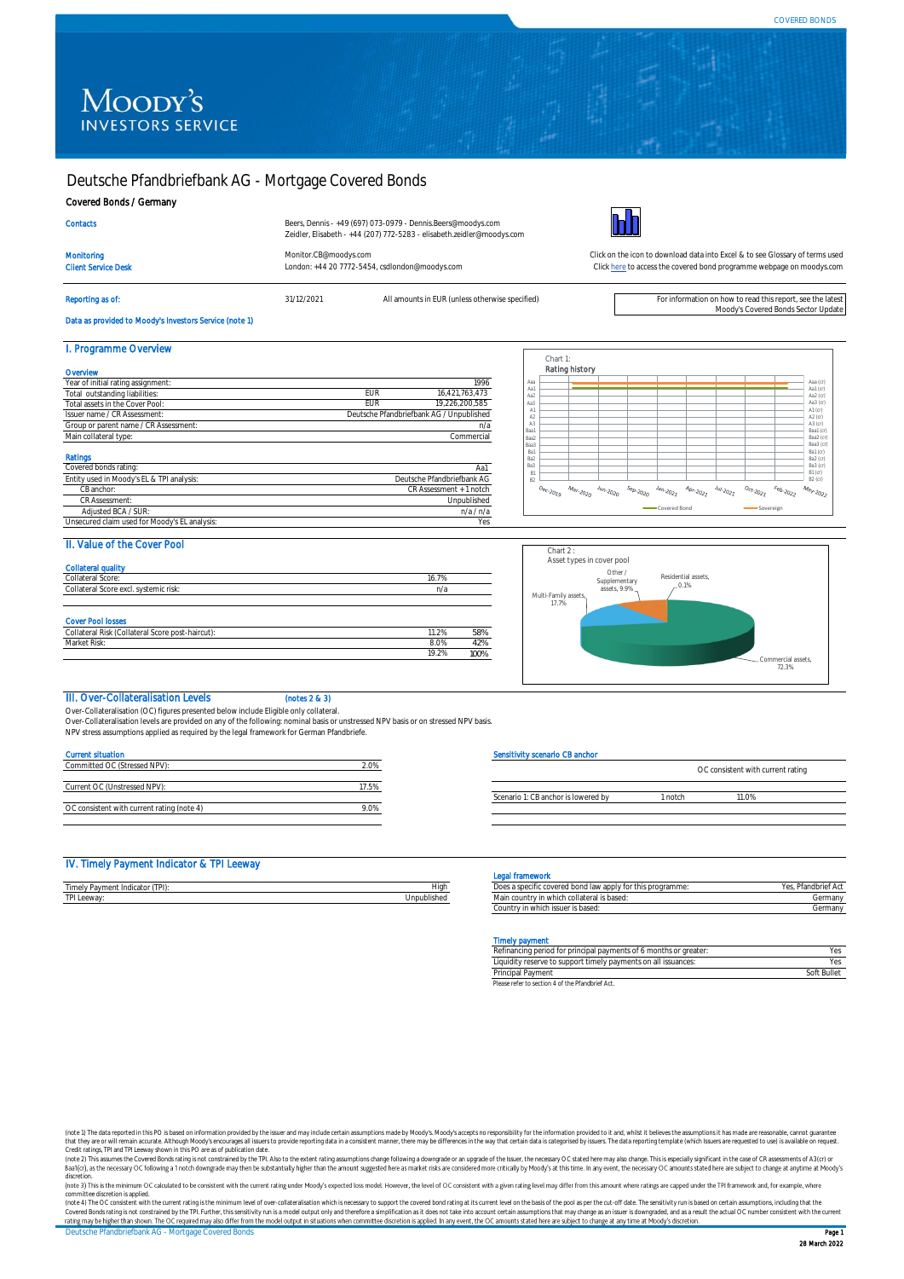# Moody's **INVESTORS SERVICE**

# Deutsche Pfandbriefbank AG - Mortgage Covered Bonds

Client Service Desk London: +44 20 7772-5454, csdlondon@moodys.com

#### Covered Bonds / Germany

| <b>Contacts</b> |  |  |  |
|-----------------|--|--|--|
|                 |  |  |  |
|                 |  |  |  |

Beers, Dennis - +49 (697) 073-0979 - Dennis.Beers@moodys.com Zeidler, Elisabeth - +44 (207) 772-5283 - elisabeth.zeidler@moodys.com

Reporting as of: **31/12/2021** All amounts in EUR (unless otherwise specified) For information on how to read this report, see the lates



[Monitor.CB@moodys.com](mailto:Monitor.CB@moodys.com) Click on the icon to download data into Excel & to see Glossary of terms used [Click here](https://www.moodys.com/credit-ratings/Deutsche-Pfandbriefbank-AG--Mortgage-Covered-Bonds-credit-rating-724122487) to access the covered bond programme webpage on moodys.com

Moody's Covered Bonds Sector Update

# Data as provided to Moody's Investors Service (note 1)

| I. Programme Overview                     |            |                                          |
|-------------------------------------------|------------|------------------------------------------|
| Overvlew                                  |            |                                          |
| Year of initial rating assignment:        |            | 1996                                     |
| Total outstanding liabilities:            | <b>FUR</b> | 16.421.763.473                           |
| Total assets in the Cover Pool:           | <b>FUR</b> | 19.226.200.585                           |
| Issuer name / CR Assessment:              |            | Deutsche Pfandbriefbank AG / Unpublished |
| Group or parent name / CR Assessment:     |            | n/a                                      |
| Main collateral type:                     |            | Commercial                               |
| Ratings                                   |            |                                          |
| Covered bonds rating:                     |            | Aa1                                      |
| Entity used in Moody's EL & TPI analysis: |            | Deutsche Pfandbriefbank AG               |
| CB anchor:                                |            | CR Assessment + 1 notch                  |
| CR Assessment:                            |            | Unpublished                              |

Adjusted BCA / SUR: n/a / n/a / n/a / n/a / n/a / n/a / n/a / n/a / n/a / n/a / n/a / n/a / n/a / n/a / n/a / n/a / n/a / n/a / n/a / n/a / n/a / n/a / n/a / n/a / n/a / n/a / n/a / n/a / n/a / n/a / n/a / n/a / n/a / n/a

| Aaa            |  |  |  |  | Aaa (cr)             |
|----------------|--|--|--|--|----------------------|
| Aa1<br>Aa2     |  |  |  |  | Aa1 (cr)<br>Aa2 (cr) |
| Aa3            |  |  |  |  | Aa $3$ (cr)          |
| A1             |  |  |  |  | A1(cr)               |
| A <sub>2</sub> |  |  |  |  | A2 (cr)              |
| A3<br>Baa1     |  |  |  |  | A3 (cr)<br>Baa1 (cr) |
| Baa2           |  |  |  |  | Baa2 (cr)            |
| Baa3           |  |  |  |  | Ваа3 (сг)            |
| Ba1<br>Ba2     |  |  |  |  | Ba1 (cr)             |
| Ba3            |  |  |  |  | Ba2 (cr)<br>Ba3 (cr) |
| B1             |  |  |  |  | $B1$ (cr)            |
| <b>B2</b>      |  |  |  |  | $B2$ (cr)            |

#### II. Value of the Cover Pool

Unsecured claim used for Moody's EL analysis

| <b>Collateral quality</b><br>Collateral Score:                               | 16.7% |     |
|------------------------------------------------------------------------------|-------|-----|
| Collateral Score excl. systemic risk:                                        | n/a   |     |
|                                                                              |       |     |
|                                                                              |       |     |
| <b>Cover Pool losses</b><br>Collateral Risk (Collateral Score post-haircut): | 11.2% | 58% |
| Market Risk:                                                                 | 8.0%  | 42% |



# III. Over-Collateralisation Levels (notes 2 & 3)

Over-Collateralisation (OC) figures presented below include Eligible only collateral. Over-Collateralisation levels are provided on any of the following: nominal basis or unstressed NPV basis or on stressed NPV basis.

NPV stress assumptions applied as required by the legal framework for German Pfandbriefe.

### Current situation

| Committed OC (Stressed NPV):               |      |
|--------------------------------------------|------|
|                                            |      |
| Current OC (Unstressed NPV):               |      |
|                                            |      |
| OC consistent with current rating (note 4) | 9 N% |

#### Sensitivity scenario CB anchor

|                                     |               | OC consistent with current rating |  |
|-------------------------------------|---------------|-----------------------------------|--|
|                                     |               |                                   |  |
| Scenario 1: CB anchor is lowered by | <b>Inntch</b> | 1 $0\%$                           |  |
|                                     |               |                                   |  |

#### IV. Timely Payment Indicator & TPI Leeway

|                                |             | ΠΙαΠισινυπ                                                                                                                   |                                                    |
|--------------------------------|-------------|------------------------------------------------------------------------------------------------------------------------------|----------------------------------------------------|
| Timely Payment Indicator (TPI) | High        | is programme:<br>t a specific<br>hond<br>, for this<br>COUNTS<br>`--<br>.<br>law<br>ea pona-<br>, addivior u<br>. . <i>.</i> | <b>COLOR</b><br>75 - I<br>י ומו<br>ושטו וכו<br>. ت |
| TDI I<br>PI Leeway:            | Unpublished | collateral is based:<br>Main country<br>"Y in whici.                                                                         | `^rman√<br>Gег                                     |

#### **Legal frame**

| --------------------                                       |                     |
|------------------------------------------------------------|---------------------|
| Does a specific covered bond law apply for this programme: | Yes, Pfandbrief Act |
| Main country in which collateral is based:                 | Germany             |
| Country in which issuer is based:                          | Germany             |

#### Timely payment

| .                                                                 |             |
|-------------------------------------------------------------------|-------------|
| Refinancing period for principal payments of 6 months or greater: | Yes         |
| Liquidity reserve to support timely payments on all issuances:    | Yes.        |
| Principal Payment                                                 | Soft Bullet |
| Disconsider to continue 4 of the Disorderial Anti                 |             |

Pler to section 4 of the Pfa

(note 1) The data reported in this PO is based on information provided by the issuer and may include certain assumptions made by Moody's Moody's accepts no responsibility for the information provided to it and, whilst it b that they are or will remain accurate. Although Moody's encourages all issuers to provide reporting data in a consistent manner, there may be differences in the way that certain data is categorised by issues. The data repo

discretion.

committee discretion is applied.<br>(note 4) The OC consistent with the current rating is the minimum level of over-collateralisation which is necessary to support the covered bond rating at its current level on the basis of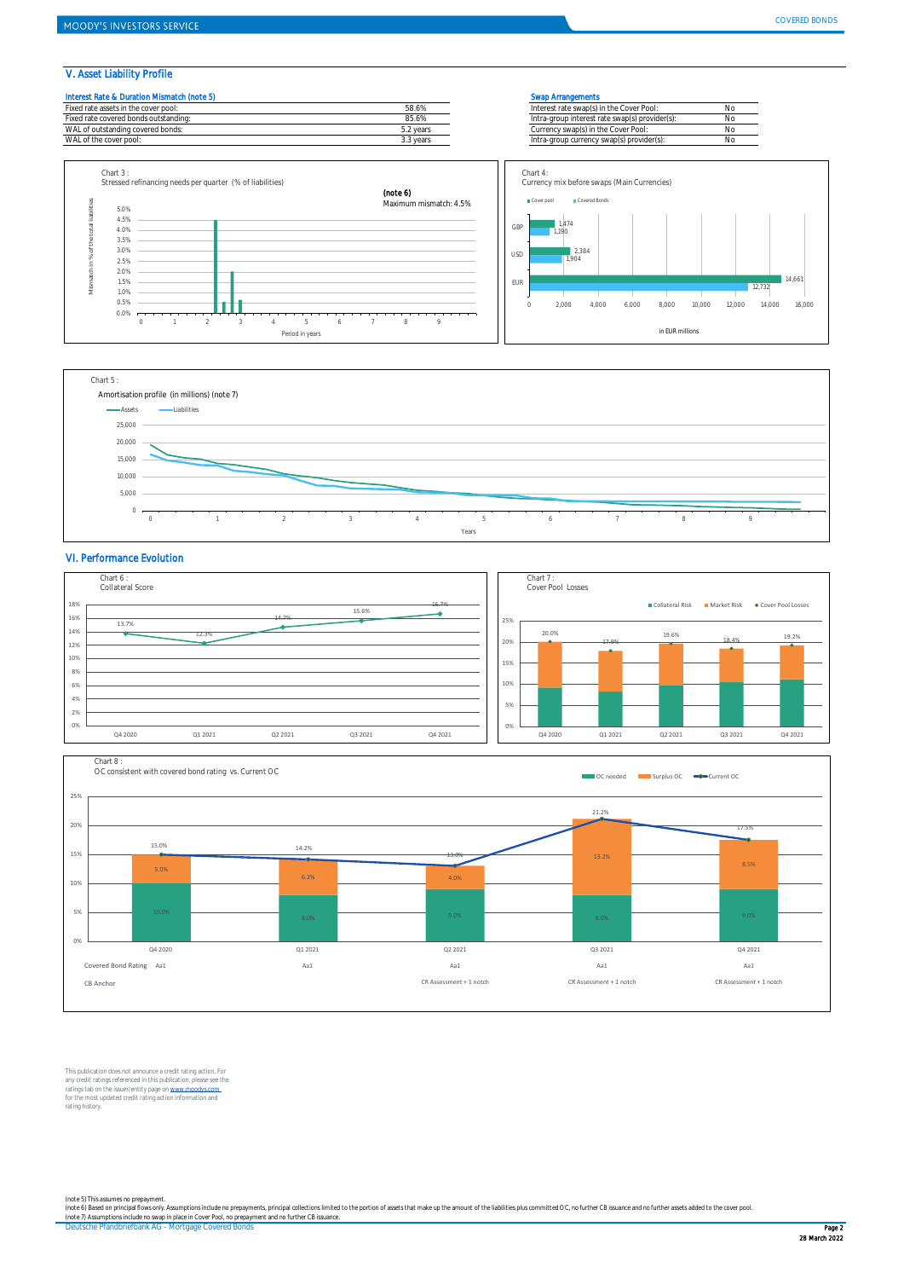12,732

14,661

#### V. Asset Liability Profile









#### VI. Performance Evolution





This publication does not announce a credit rating action. For any credit ratings referenced in this publication, please see the<br>ratings tab on the issuer/entity page on <u>www.moodys.com .</u><br>for the most updated credit rating action information and rating history.

(note 5) This assumes no prepayment.<br>(note 6) Based on principal flows only. Assumptions include no prepayments, principal collections limited to the portion of assets that make up the amount of the liabilities plus commit

Deutsche Pfandbriefbank AG - Mortgage Covered Bonds Page 2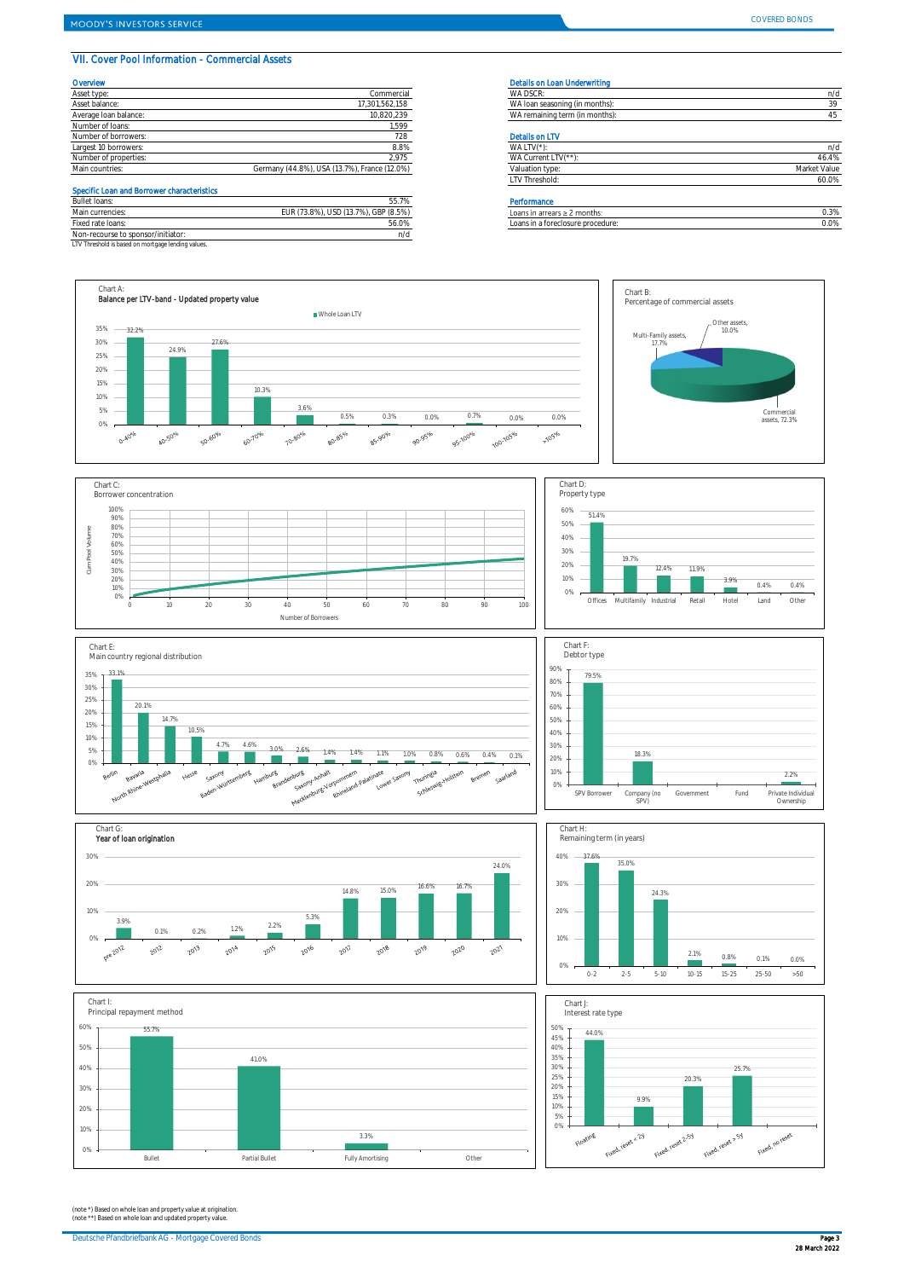# VII. Cover Pool Information - Commercial Assets

| Overvlew              |                                              | Details on Loan Underwriting   |              |
|-----------------------|----------------------------------------------|--------------------------------|--------------|
| Asset type:           | Commercial                                   | WA DSCR:                       | n/c          |
| Asset balance:        | 17,301,562,158                               | WA loan seasoning (in months): | 39           |
| Average Ioan balance: | 10,820,239                                   | WA remaining term (in months): |              |
| Number of loans:      | 1.599                                        |                                |              |
| Number of borrowers:  | 728                                          | <b>Details on LTV</b>          |              |
| Largest 10 borrowers: | 8.8%                                         | WA LTV $(*)$                   | n/c          |
| Number of properties: | 2,975                                        | WA Current LTV(**)             | 46.4%        |
| Main countries:       | Germany (44.8%), USA (13.7%), France (12.0%) | Valuation type:                | Market Value |

# Specific Loan and Borrower characteristics

| Bullet loans:                                      | ---<br>55.7%                         | Performance                       |      |
|----------------------------------------------------|--------------------------------------|-----------------------------------|------|
| Main currencies:                                   | EUR (73.8%), USD (13.7%), GBP (8.5%) | Loans in arrears $\geq 2$ months: | 0.3% |
| Fixed rate loans:                                  | 56.0%                                | Loans in a foreclosure procedure: | 0.0% |
| Non-recourse to sponsor/initiator:                 | מ ו                                  |                                   |      |
| LTV Threshold is based on mortgage lending values. |                                      |                                   |      |

| WA DSCR:                       | n/d          |
|--------------------------------|--------------|
| WA loan seasoning (in months): | 39           |
| WA remaining term (in months): | 45           |
| <b>Details on LTV</b>          |              |
| WA LTV(*):                     | n/d          |
| WA Current LTV(**):            | 46.4%        |
| Valuation type:                | Market Value |
| LTV Threshold:                 | 60.0%        |

| .                                 |    |
|-----------------------------------|----|
| Loans in arrears $\geq 2$ months: | 3% |
| Loans in a foreclosure procedure: | 0% |
|                                   |    |



















(note \*) Based on whole loan and property value at origination. (note \*\*) Based on whole loan and updated property value.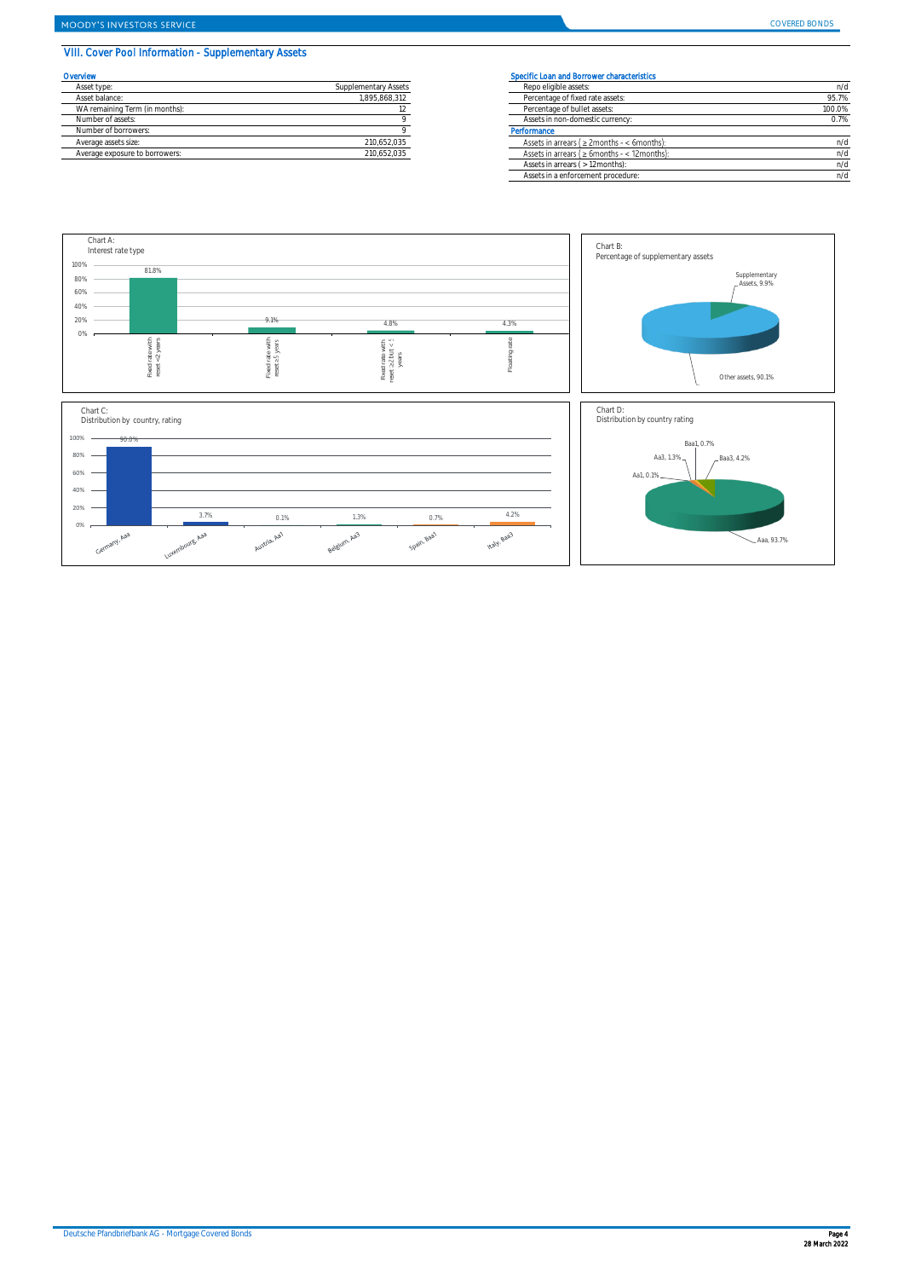# VIII. Cover Pool Information - Supplementary Assets

| Overvlew                       | Specific Loan and Borrower characteristics |                                              |  |
|--------------------------------|--------------------------------------------|----------------------------------------------|--|
| Asset type:                    | Supplementary Assets                       | Repo eligible assets:                        |  |
| Asset balance:                 | 1.895.868.312                              | Percentage of fixed rate assets:             |  |
| WA remaining Term (in months): |                                            | Percentage of bullet assets:                 |  |
| Number of assets:              |                                            | Assets in non-domestic currency:             |  |
| Number of borrowers:           |                                            | Performance                                  |  |
| Average assets size:           | 210.652.035                                | Assets in arrears ( $\geq$ 2months - < 6mont |  |
| Average exposure to borrowers: | 210.652.035                                | Assets in arrears (≥ 6months - < 12mon       |  |

| .                              |                      | opound count and portoner characteristics.          |        |  |
|--------------------------------|----------------------|-----------------------------------------------------|--------|--|
| Asset type:                    | Supplementary Assets | Repo eligible assets:                               | n/d    |  |
| Asset balance:                 | 1.895.868.312        | Percentage of fixed rate assets:                    | 95.7%  |  |
| WA remaining Term (in months): |                      | Percentage of bullet assets:                        | 100.0% |  |
| Number of assets:              |                      | Assets in non-domestic currency:                    | 0.7%   |  |
| Number of borrowers:           |                      | Performance                                         |        |  |
| Average assets size:           | 210,652,035          | Assets in arrears ( $\geq$ 2months - < 6months):    | n/d    |  |
| Average exposure to borrowers: | 210.652.035          | Assets in arrears ( $\geq 6$ months - < 12 months): | n/d    |  |
|                                |                      | Assets in arrears ( > 12 months):                   | n/d    |  |
|                                |                      | Assets in a enforcement procedure:                  | n/d    |  |

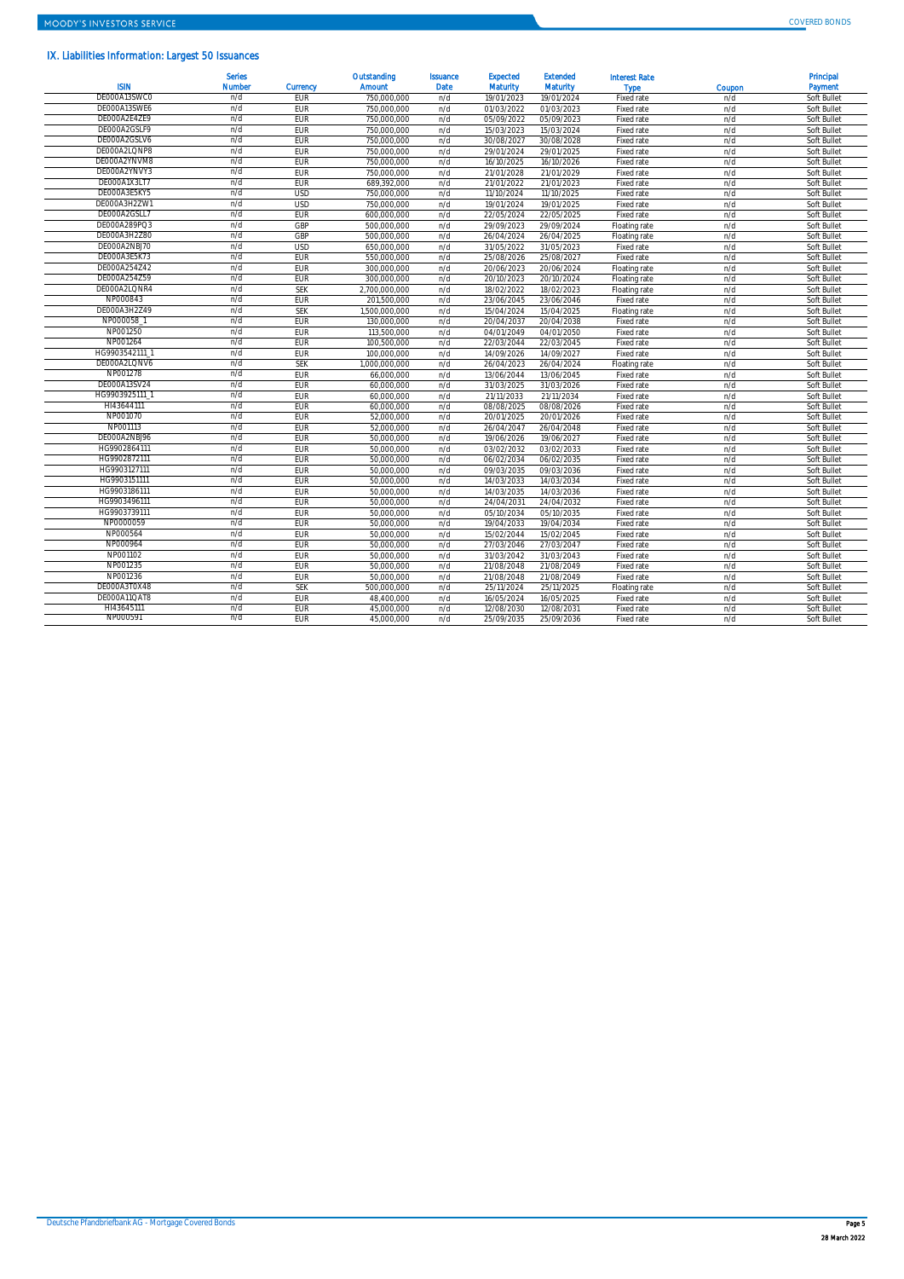# IX. Liabilities Information: Largest 50 Issuances

| <b>ISIN</b>  | <b>Serles</b><br><b>Number</b> | <b>Currency</b> | Outstanding<br><b>Amount</b> | <b>Issuance</b><br><b>Date</b> | <b>Expected</b><br><b>Maturity</b> | <b>Extended</b><br><b>Maturity</b> | <b>Interest Rate</b><br><b>Type</b> | Coupon | Principal<br>Payment |
|--------------|--------------------------------|-----------------|------------------------------|--------------------------------|------------------------------------|------------------------------------|-------------------------------------|--------|----------------------|
| DE000A13SWC0 | n/d                            | EUR             | 750,000,000                  | n/d                            | 19/01/2023                         | 19/01/2024                         | Fixed rate                          | n/d    | Soft Bullet          |
| DE000A13SWE6 | n/d                            | <b>EUR</b>      | 750.000.000                  | n/d                            | 01/03/2022                         | 01/03/2023                         | Fixed rate                          | n/d    | Soft Bullet          |
| DE000A2E4ZE9 | n/d                            | EUR             | 750,000,000                  | n/d                            | 05/09/2022                         | 05/09/2023                         | Fixed rate                          | n/d    | Soft Bullet          |
| DE000A2GSLF9 | n/d                            | EUR             | 750.000.000                  | n/d                            | 15/03/2023                         | 15/03/2024                         | Fixed rate                          | n/d    | Soft Bullet          |
| DE000A2GSLV6 | n/d                            | EUR             | 750,000,000                  | n/d                            | 30/08/2027                         | 30/08/2028                         | Fixed rate                          | n/d    | Soft Bullet          |
| DE000A2LQNP8 | n/d                            | <b>EUR</b>      | 750,000,000                  | n/d                            | 29/01/2024                         | 29/01/2025                         | Fixed rate                          | n/d    | Soft Bullet          |
| DE000A2YNVM8 | n/d                            | EUR             | 750,000,000                  | n/d                            | 16/10/2025                         | 16/10/2026                         | Fixed rate                          | n/d    | Soft Bullet          |
| DE000A2YNVY3 | n/d                            | <b>EUR</b>      | 750,000,000                  | n/d                            | 21/01/2028                         | 21/01/2029                         | Fixed rate                          | n/d    | Soft Bullet          |
| DE000A1X3LT7 | n/d                            | <b>EUR</b>      | 689,392,000                  | n/d                            | 21/01/2022                         | 21/01/2023                         | Fixed rate                          | n/d    | Soft Bullet          |
| DE000A3E5KY5 | n/d                            | <b>USD</b>      | 750.000.000                  | n/d                            | 11/10/2024                         | 11/10/2025                         | Fixed rate                          | n/d    | Soft Bullet          |
| DE000A3H2ZW1 | n/d                            | <b>USD</b>      | 750.000.000                  | n/d                            | 19/01/2024                         | 19/01/2025                         | Fixed rate                          | n/d    | Soft Bullet          |
| DE000A2GSLL7 | n/d                            | <b>EUR</b>      | 600,000,000                  | n/d                            | 22/05/2024                         | 22/05/2025                         | Fixed rate                          | n/d    | Soft Bullet          |
| DE000A289PQ3 | n/d                            | GBP             | 500.000.000                  | n/d                            | 29/09/2023                         | 29/09/2024                         | Floating rate                       | n/d    | Soft Bullet          |
| DE000A3H2Z80 | n/d                            | GBP             | 500,000,000                  | n/d                            | 26/04/2024                         | 26/04/2025                         | Floating rate                       | n/d    | Soft Bullet          |
| DE000A2NBJ70 | n/d                            | <b>USD</b>      | 650.000.000                  | n/d                            | 31/05/2022                         | 31/05/2023                         | Fixed rate                          | n/d    | Soft Bullet          |
| DE000A3E5K73 | n/d                            | <b>EUR</b>      | 550,000,000                  | n/d                            | 25/08/2026                         | 25/08/2027                         | Fixed rate                          | n/d    | Soft Bullet          |
| DE000A254Z42 | n/d                            | <b>EUR</b>      | 300,000,000                  | n/d                            | 20/06/2023                         | 20/06/2024                         | Floating rate                       | n/d    | Soft Bullet          |
| DE000A254Z59 | n/d                            | EUR             | 300.000.000                  | n/d                            | 20/10/2023                         | 20/10/2024                         | Floating rate                       | n/d    | Soft Bullet          |
| DE000A2LQNR4 | n/d                            | <b>SEK</b>      | 2.700.000.000                | n/d                            | 18/02/2022                         | 18/02/2023                         | Floating rate                       | n/d    | Soft Bullet          |
| NP000843     | n/d                            | <b>EUR</b>      | 201,500,000                  | n/d                            | 23/06/2045                         | 23/06/2046                         | Fixed rate                          | n/d    | Soft Bullet          |
| DE000A3H2Z49 | n/d                            | <b>SEK</b>      | 1.500.000.000                | n/d                            | 15/04/2024                         | 15/04/2025                         | Floating rate                       | n/d    | Soft Bullet          |
| NP000058     | n/d                            | <b>EUR</b>      | 130,000,000                  | n/d                            | 20/04/2037                         | 20/04/2038                         | Fixed rate                          | n/d    | Soft Bullet          |
| NP001250     | n/d                            | <b>EUR</b>      | 113,500,000                  | n/d                            | 04/01/2049                         | 04/01/2050                         | Fixed rate                          | n/d    | Soft Bullet          |
| NP001264     | n/d                            | <b>EUR</b>      | 100,500,000                  | n/d                            | 22/03/2044                         | 22/03/2045                         | Fixed rate                          | n/d    | Soft Bullet          |
| HG9903542111 | n/d                            | EUR             | 100.000.000                  | n/d                            | 14/09/2026                         | 14/09/2027                         | Fixed rate                          | n/d    | Soft Bullet          |
| DE000A2LONV6 | n/d                            | <b>SEK</b>      | .000.000.000                 | n/d                            | 26/04/2023                         | 26/04/2024                         | Floating rate                       | n/d    | Soft Bullet          |
| NP001278     | n/d                            | <b>EUR</b>      | 66,000,000                   | n/d                            | 13/06/2044                         | 13/06/2045                         | Fixed rate                          | n/d    | Soft Bullet          |
| DE000A13SV24 | n/d                            | <b>EUR</b>      | 60,000,000                   | n/d                            | 31/03/2025                         | 31/03/2026                         | Fixed rate                          | n/d    | Soft Bullet          |
| HG9903925111 | n/d                            | <b>EUR</b>      | 60,000,000                   | n/d                            | 21/11/2033                         | 21/11/2034                         | Fixed rate                          | n/d    | Soft Bullet          |
| HI43644111   | n/d                            | <b>EUR</b>      | 60,000,000                   | n/d                            | 08/08/2025                         | 08/08/2026                         | Fixed rate                          | n/d    | Soft Bullet          |
| NP001070     | n/d                            | <b>EUR</b>      | 52,000,000                   | n/d                            | 20/01/2025                         | 20/01/2026                         | Fixed rate                          | n/d    | Soft Bullet          |
| NP001113     | n/d                            | EUR             | 52.000.000                   | n/d                            | 26/04/2047                         | 26/04/2048                         | Fixed rate                          | n/d    | Soft Bullet          |
| DE000A2NBJ96 | n/d                            | EUR             | 50.000.000                   | n/d                            | 19/06/2026                         | 19/06/2027                         | Fixed rate                          | n/d    | Soft Bullet          |
| HG9902864111 | n/d                            | EUR             | 50,000,000                   | n/d                            | 03/02/2032                         | 03/02/2033                         | Fixed rate                          | n/d    | Soft Bullet          |
| HG9902872111 | n/d                            | <b>EUR</b>      | 50.000.000                   | n/d                            | 06/02/2034                         | 06/02/2035                         | Fixed rate                          | n/d    | Soft Bullet          |
| HG9903127111 | n/d                            | EUR             | 50,000,000                   | n/d                            | 09/03/2035                         | 09/03/2036                         | Fixed rate                          | n/d    | Soft Bullet          |
| HG9903151111 | n/d                            | <b>EUR</b>      | 50,000,000                   | n/d                            | 14/03/2033                         | 14/03/2034                         | Fixed rate                          | n/d    | Soft Bullet          |
| HG9903186111 | n/d                            | <b>EUR</b>      | 50,000,000                   | n/d                            | 14/03/2035                         | 14/03/2036                         | Fixed rate                          | n/d    | Soft Bullet          |
| HG9903496111 | n/d                            | <b>EUR</b>      | 50,000,000                   | n/d                            | 24/04/2031                         | 24/04/2032                         | Fixed rate                          | n/d    | Soft Bullet          |
| HG9903739111 | n/d                            | EUR             | 50.000.000                   | n/d                            | 05/10/2034                         | 05/10/2035                         | Fixed rate                          | n/d    | Soft Bullet          |
| NP0000059    | n/d                            | EUR             | 50.000.000                   | n/d                            | 19/04/2033                         | 19/04/2034                         | Fixed rate                          | n/d    | Soft Bullet          |
| NP000564     | n/d                            | <b>EUR</b>      | 50,000,000                   | n/d                            | 15/02/2044                         | 15/02/2045                         | Fixed rate                          | n/d    | Soft Bullet          |
| NP000964     | n/d                            | <b>EUR</b>      | 50,000,000                   | n/d                            | 27/03/2046                         | 27/03/2047                         | Fixed rate                          | n/d    | Soft Bullet          |
| NP001102     | n/d                            | EUR             | 50.000.000                   | n/d                            | 31/03/2042                         | 31/03/2043                         | Fixed rate                          | n/d    | Soft Bullet          |
| NP001235     | n/d                            | <b>EUR</b>      | 50,000,000                   | n/d                            | 21/08/2048                         | 21/08/2049                         | Fixed rate                          | n/d    | Soft Bullet          |
| NP001236     | n/d                            | <b>EUR</b>      | 50,000,000                   | n/d                            | 21/08/2048                         | 21/08/2049                         | Fixed rate                          | n/d    | Soft Bullet          |
| DE000A3T0X48 | n/d                            | <b>SEK</b>      | 500,000,000                  | n/d                            | 25/11/2024                         | 25/11/2025                         | Floating rate                       | n/d    | Soft Bullet          |
| DE000A11QAT8 | n/d                            | EUR             | 48.400.000                   | n/d                            | 16/05/2024                         | 16/05/2025                         | Fixed rate                          | n/d    | Soft Bullet          |
| HI43645111   | n/d                            | <b>FUR</b>      | 45.000.000                   | n/d                            | 12/08/2030                         | 12/08/2031                         | Fixed rate                          | n/d    | Soft Bullet          |
| NP000591     | n/d                            | EUR             | 45.000.000                   | n/d                            | 25/09/2035                         | 25/09/2036                         | Fixed rate                          | n/d    | Soft Bullet          |